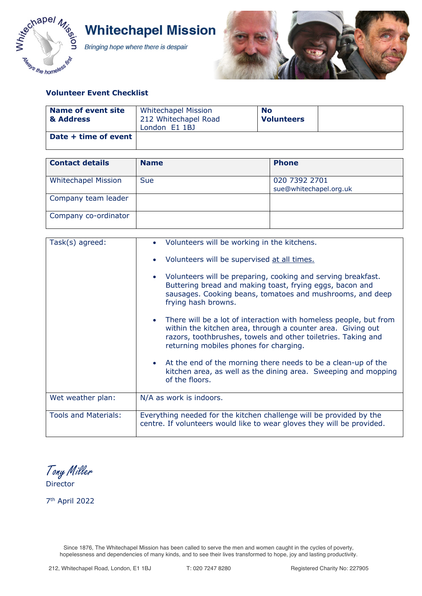

**Whitechapel Mission** 

Bringing hope where there is despair



## **Volunteer Event Checklist**

| Name of event site<br>& Address | <b>Whitechapel Mission</b><br>212 Whitechapel Road<br>London E1 1BJ | <b>No</b><br><b>Volunteers</b> |  |
|---------------------------------|---------------------------------------------------------------------|--------------------------------|--|
| Date + time of event            |                                                                     |                                |  |

| <b>Contact details</b>     | <b>Name</b> | <b>Phone</b>                            |
|----------------------------|-------------|-----------------------------------------|
| <b>Whitechapel Mission</b> | <b>Sue</b>  | 020 7392 2701<br>sue@whitechapel.org.uk |
| Company team leader        |             |                                         |
| Company co-ordinator       |             |                                         |

| Task(s) agreed:             | • Volunteers will be working in the kitchens.                                                                                                                                                                                               |
|-----------------------------|---------------------------------------------------------------------------------------------------------------------------------------------------------------------------------------------------------------------------------------------|
|                             | Volunteers will be supervised at all times.                                                                                                                                                                                                 |
|                             | Volunteers will be preparing, cooking and serving breakfast.<br>Buttering bread and making toast, frying eggs, bacon and<br>sausages. Cooking beans, tomatoes and mushrooms, and deep<br>frying hash browns.                                |
|                             | There will be a lot of interaction with homeless people, but from<br>within the kitchen area, through a counter area. Giving out<br>razors, toothbrushes, towels and other toiletries. Taking and<br>returning mobiles phones for charging. |
|                             | • At the end of the morning there needs to be a clean-up of the<br>kitchen area, as well as the dining area. Sweeping and mopping<br>of the floors.                                                                                         |
| Wet weather plan:           | N/A as work is indoors.                                                                                                                                                                                                                     |
| <b>Tools and Materials:</b> | Everything needed for the kitchen challenge will be provided by the<br>centre. If volunteers would like to wear gloves they will be provided.                                                                                               |

Tony Miller Director

7th April 2022

Since 1876, The Whitechapel Mission has been called to serve the men and women caught in the cycles of poverty, hopelessness and dependencies of many kinds, and to see their lives transformed to hope, joy and lasting productivity.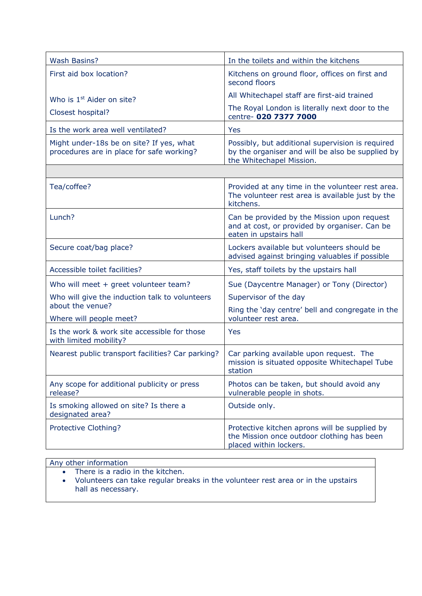| <b>Wash Basins?</b>                                                                   | In the toilets and within the kitchens                                                                                           |  |
|---------------------------------------------------------------------------------------|----------------------------------------------------------------------------------------------------------------------------------|--|
| First aid box location?                                                               | Kitchens on ground floor, offices on first and<br>second floors                                                                  |  |
| Who is 1 <sup>st</sup> Aider on site?                                                 | All Whitechapel staff are first-aid trained                                                                                      |  |
| Closest hospital?                                                                     | The Royal London is literally next door to the<br>centre- 020 7377 7000                                                          |  |
| Is the work area well ventilated?                                                     | Yes                                                                                                                              |  |
| Might under-18s be on site? If yes, what<br>procedures are in place for safe working? | Possibly, but additional supervision is required<br>by the organiser and will be also be supplied by<br>the Whitechapel Mission. |  |
|                                                                                       |                                                                                                                                  |  |
| Tea/coffee?                                                                           | Provided at any time in the volunteer rest area.<br>The volunteer rest area is available just by the<br>kitchens.                |  |
| Lunch?                                                                                | Can be provided by the Mission upon request<br>and at cost, or provided by organiser. Can be<br>eaten in upstairs hall           |  |
| Secure coat/bag place?                                                                | Lockers available but volunteers should be<br>advised against bringing valuables if possible                                     |  |
| Accessible toilet facilities?                                                         | Yes, staff toilets by the upstairs hall                                                                                          |  |
| Who will meet + greet volunteer team?                                                 | Sue (Daycentre Manager) or Tony (Director)                                                                                       |  |
| Who will give the induction talk to volunteers                                        | Supervisor of the day                                                                                                            |  |
| about the venue?<br>Where will people meet?                                           | Ring the 'day centre' bell and congregate in the<br>volunteer rest area.                                                         |  |
| Is the work & work site accessible for those<br>with limited mobility?                | Yes                                                                                                                              |  |
| Nearest public transport facilities? Car parking?                                     | Car parking available upon request. The<br>mission is situated opposite Whitechapel Tube<br>station                              |  |
| Any scope for additional publicity or press<br>release?                               | Photos can be taken, but should avoid any<br>vulnerable people in shots.                                                         |  |
| Is smoking allowed on site? Is there a<br>designated area?                            | Outside only.                                                                                                                    |  |
| Protective Clothing?                                                                  | Protective kitchen aprons will be supplied by<br>the Mission once outdoor clothing has been<br>placed within lockers.            |  |

## Any other information

- There is a radio in the kitchen.
- Volunteers can take regular breaks in the volunteer rest area or in the upstairs hall as necessary.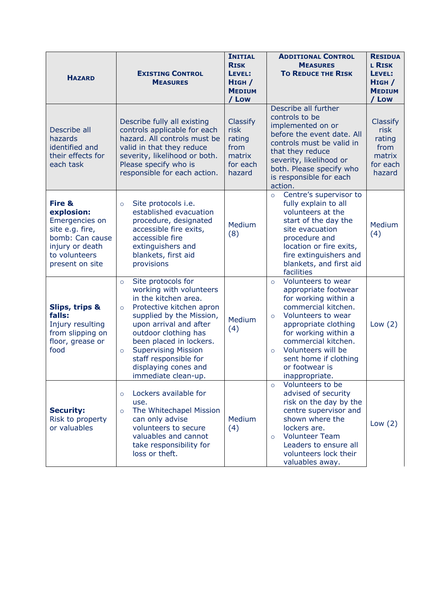| <b>HAZARD</b>                                                                                                                       | <b>EXISTING CONTROL</b><br><b>MEASURES</b>                                                                                                                                                                                                                                                                                                        | <b>INITIAL</b><br><b>RISK</b><br>LEVEL:<br>HIGH /<br><b>MEDIUM</b><br>/ Low | <b>ADDITIONAL CONTROL</b><br><b>MEASURES</b><br><b>TO REDUCE THE RISK</b>                                                                                                                                                                                                                                  | <b>RESIDUA</b><br><b>L RISK</b><br>LEVEL:<br>$H$ IGH $/$<br><b>MEDIUM</b><br>/ Low |
|-------------------------------------------------------------------------------------------------------------------------------------|---------------------------------------------------------------------------------------------------------------------------------------------------------------------------------------------------------------------------------------------------------------------------------------------------------------------------------------------------|-----------------------------------------------------------------------------|------------------------------------------------------------------------------------------------------------------------------------------------------------------------------------------------------------------------------------------------------------------------------------------------------------|------------------------------------------------------------------------------------|
| Describe all<br>hazards<br>identified and<br>their effects for<br>each task                                                         | Describe fully all existing<br>controls applicable for each<br>hazard. All controls must be<br>valid in that they reduce<br>severity, likelihood or both.<br>Please specify who is<br>responsible for each action.                                                                                                                                | <b>Classify</b><br>risk<br>rating<br>from<br>matrix<br>for each<br>hazard   | Describe all further<br>controls to be<br>implemented on or<br>before the event date. All<br>controls must be valid in<br>that they reduce<br>severity, likelihood or<br>both. Please specify who<br>is responsible for each<br>action.                                                                    | Classify<br>risk<br>rating<br>from<br>matrix<br>for each<br>hazard                 |
| Fire &<br>explosion:<br>Emergencies on<br>site e.g. fire,<br>bomb: Can cause<br>injury or death<br>to volunteers<br>present on site | Site protocols i.e.<br>$\circ$<br>established evacuation<br>procedure, designated<br>accessible fire exits,<br>accessible fire<br>extinguishers and<br>blankets, first aid<br>provisions                                                                                                                                                          | Medium<br>(8)                                                               | Centre's supervisor to<br>$\circ$<br>fully explain to all<br>volunteers at the<br>start of the day the<br>site evacuation<br>procedure and<br>location or fire exits,<br>fire extinguishers and<br>blankets, and first aid<br>facilities                                                                   | Medium<br>(4)                                                                      |
| <b>Slips, trips &amp;</b><br>falls:<br>Injury resulting<br>from slipping on<br>floor, grease or<br>food                             | Site protocols for<br>$\circ$<br>working with volunteers<br>in the kitchen area.<br>Protective kitchen apron<br>$\circ$<br>supplied by the Mission,<br>upon arrival and after<br>outdoor clothing has<br>been placed in lockers.<br><b>Supervising Mission</b><br>$\circ$<br>staff responsible for<br>displaying cones and<br>immediate clean-up. | Medium<br>(4)                                                               | Volunteers to wear<br>$\circ$<br>appropriate footwear<br>for working within a<br>commercial kitchen.<br>Volunteers to wear<br>$\circ$<br>appropriate clothing<br>for working within a<br>commercial kitchen.<br>Volunteers will be<br>$\circ$<br>sent home if clothing<br>or footwear is<br>inappropriate. | Low $(2)$                                                                          |
| <b>Security:</b><br>Risk to property<br>or valuables                                                                                | Lockers available for<br>$\circ$<br>use.<br>The Whitechapel Mission<br>$\circ$<br>can only advise<br>volunteers to secure<br>valuables and cannot<br>take responsibility for<br>loss or theft.                                                                                                                                                    | Medium<br>(4)                                                               | Volunteers to be<br>$\circ$<br>advised of security<br>risk on the day by the<br>centre supervisor and<br>shown where the<br>lockers are.<br><b>Volunteer Team</b><br>$\circ$<br>Leaders to ensure all<br>volunteers lock their<br>valuables away.                                                          | Low $(2)$                                                                          |